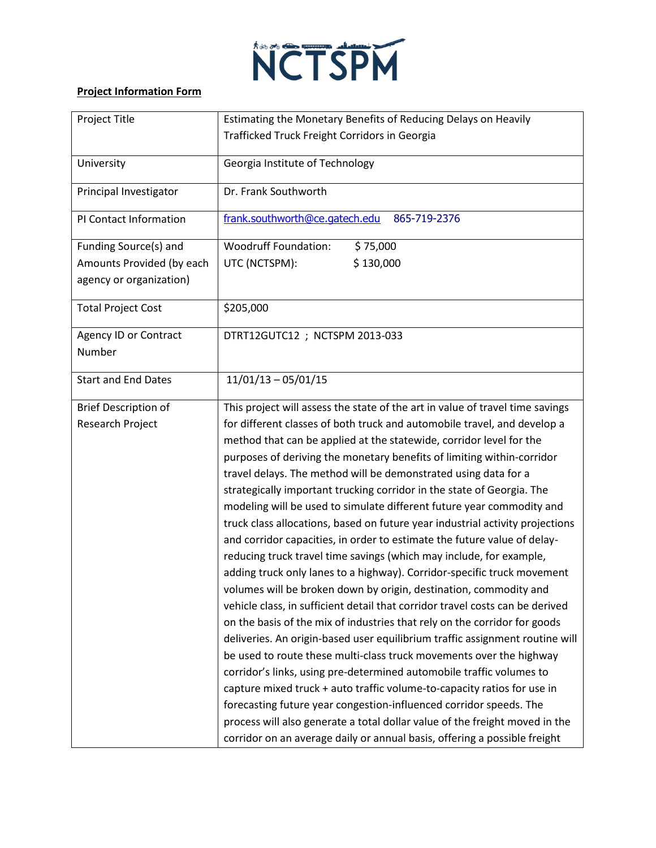

## **Project Information Form**

| Project Title                | Estimating the Monetary Benefits of Reducing Delays on Heavily                |
|------------------------------|-------------------------------------------------------------------------------|
|                              | Trafficked Truck Freight Corridors in Georgia                                 |
| University                   | Georgia Institute of Technology                                               |
| Principal Investigator       | Dr. Frank Southworth                                                          |
| PI Contact Information       | frank.southworth@ce.gatech.edu<br>865-719-2376                                |
| Funding Source(s) and        | <b>Woodruff Foundation:</b><br>\$75,000                                       |
| Amounts Provided (by each    | UTC (NCTSPM):<br>\$130,000                                                    |
| agency or organization)      |                                                                               |
| <b>Total Project Cost</b>    | \$205,000                                                                     |
| <b>Agency ID or Contract</b> | DTRT12GUTC12 ; NCTSPM 2013-033                                                |
| Number                       |                                                                               |
| <b>Start and End Dates</b>   | $11/01/13 - 05/01/15$                                                         |
| <b>Brief Description of</b>  | This project will assess the state of the art in value of travel time savings |
| Research Project             | for different classes of both truck and automobile travel, and develop a      |
|                              | method that can be applied at the statewide, corridor level for the           |
|                              | purposes of deriving the monetary benefits of limiting within-corridor        |
|                              | travel delays. The method will be demonstrated using data for a               |
|                              | strategically important trucking corridor in the state of Georgia. The        |
|                              | modeling will be used to simulate different future year commodity and         |
|                              | truck class allocations, based on future year industrial activity projections |
|                              | and corridor capacities, in order to estimate the future value of delay-      |
|                              | reducing truck travel time savings (which may include, for example,           |
|                              | adding truck only lanes to a highway). Corridor-specific truck movement       |
|                              | volumes will be broken down by origin, destination, commodity and             |
|                              | vehicle class, in sufficient detail that corridor travel costs can be derived |
|                              | on the basis of the mix of industries that rely on the corridor for goods     |
|                              | deliveries. An origin-based user equilibrium traffic assignment routine will  |
|                              | be used to route these multi-class truck movements over the highway           |
|                              | corridor's links, using pre-determined automobile traffic volumes to          |
|                              | capture mixed truck + auto traffic volume-to-capacity ratios for use in       |
|                              | forecasting future year congestion-influenced corridor speeds. The            |
|                              | process will also generate a total dollar value of the freight moved in the   |
|                              | corridor on an average daily or annual basis, offering a possible freight     |